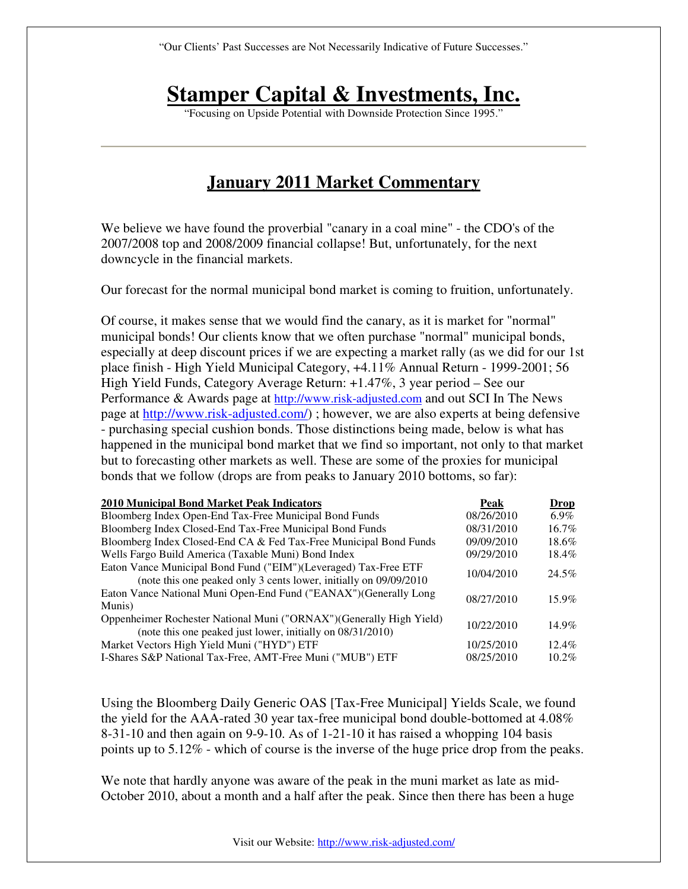# **Stamper Capital & Investments, Inc.**

"Focusing on Upside Potential with Downside Protection Since 1995."

# **January 2011 Market Commentary**

We believe we have found the proverbial "canary in a coal mine" - the CDO's of the 2007/2008 top and 2008/2009 financial collapse! But, unfortunately, for the next downcycle in the financial markets.

Our forecast for the normal municipal bond market is coming to fruition, unfortunately.

Of course, it makes sense that we would find the canary, as it is market for "normal" municipal bonds! Our clients know that we often purchase "normal" municipal bonds, especially at deep discount prices if we are expecting a market rally (as we did for our 1st place finish - High Yield Municipal Category, +4.11% Annual Return - 1999-2001; 56 High Yield Funds, Category Average Return: +1.47%, 3 year period – See our Performance & Awards page at http://www.risk-adjusted.com and out SCI In The News page at http://www.risk-adjusted.com/) ; however, we are also experts at being defensive - purchasing special cushion bonds. Those distinctions being made, below is what has happened in the municipal bond market that we find so important, not only to that market but to forecasting other markets as well. These are some of the proxies for municipal bonds that we follow (drops are from peaks to January 2010 bottoms, so far):

| 2010 Municipal Bond Market Peak Indicators                                                                                           | Peak       | <b>Drop</b> |
|--------------------------------------------------------------------------------------------------------------------------------------|------------|-------------|
| Bloomberg Index Open-End Tax-Free Municipal Bond Funds                                                                               | 08/26/2010 | $6.9\%$     |
| Bloomberg Index Closed-End Tax-Free Municipal Bond Funds                                                                             | 08/31/2010 | 16.7%       |
| Bloomberg Index Closed-End CA & Fed Tax-Free Municipal Bond Funds                                                                    | 09/09/2010 | 18.6%       |
| Wells Fargo Build America (Taxable Muni) Bond Index                                                                                  | 09/29/2010 | 18.4%       |
| Eaton Vance Municipal Bond Fund ("EIM")(Leveraged) Tax-Free ETF<br>(note this one peaked only 3 cents lower, initially on 09/09/2010 | 10/04/2010 | 24.5%       |
| Eaton Vance National Muni Open-End Fund ("EANAX")(Generally Long<br>Munis)                                                           | 08/27/2010 | $15.9\%$    |
| Oppenheimer Rochester National Muni ("ORNAX") (Generally High Yield)<br>(note this one peaked just lower, initially on 08/31/2010)   | 10/22/2010 | 14.9%       |
| Market Vectors High Yield Muni ("HYD") ETF                                                                                           | 10/25/2010 | $12.4\%$    |
| I-Shares S&P National Tax-Free, AMT-Free Muni ("MUB") ETF                                                                            | 08/25/2010 | $10.2\%$    |

Using the Bloomberg Daily Generic OAS [Tax-Free Municipal] Yields Scale, we found the yield for the AAA-rated 30 year tax-free municipal bond double-bottomed at 4.08% 8-31-10 and then again on 9-9-10. As of 1-21-10 it has raised a whopping 104 basis points up to 5.12% - which of course is the inverse of the huge price drop from the peaks.

We note that hardly anyone was aware of the peak in the muni market as late as mid-October 2010, about a month and a half after the peak. Since then there has been a huge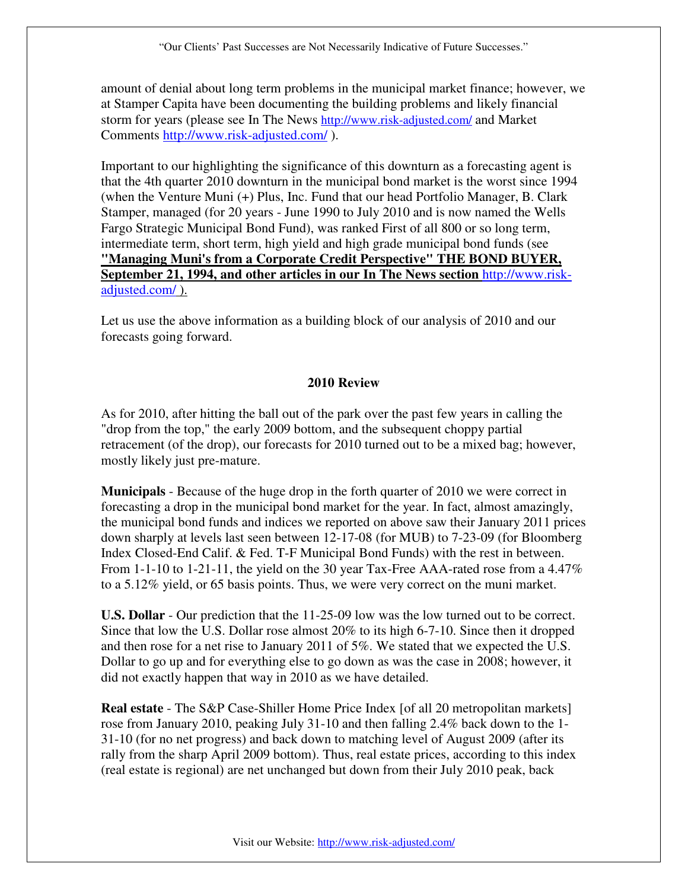amount of denial about long term problems in the municipal market finance; however, we at Stamper Capita have been documenting the building problems and likely financial storm for years (please see In The News http://www.risk-adjusted.com/ and Market Comments http://www.risk-adjusted.com/ ).

Important to our highlighting the significance of this downturn as a forecasting agent is that the 4th quarter 2010 downturn in the municipal bond market is the worst since 1994 (when the Venture Muni (+) Plus, Inc. Fund that our head Portfolio Manager, B. Clark Stamper, managed (for 20 years - June 1990 to July 2010 and is now named the Wells Fargo Strategic Municipal Bond Fund), was ranked First of all 800 or so long term, intermediate term, short term, high yield and high grade municipal bond funds (see **"Managing Muni's from a Corporate Credit Perspective" THE BOND BUYER, September 21, 1994, and other articles in our In The News section** http://www.riskadjusted.com/ ).

Let us use the above information as a building block of our analysis of 2010 and our forecasts going forward.

## **2010 Review**

As for 2010, after hitting the ball out of the park over the past few years in calling the "drop from the top," the early 2009 bottom, and the subsequent choppy partial retracement (of the drop), our forecasts for 2010 turned out to be a mixed bag; however, mostly likely just pre-mature.

**Municipals** - Because of the huge drop in the forth quarter of 2010 we were correct in forecasting a drop in the municipal bond market for the year. In fact, almost amazingly, the municipal bond funds and indices we reported on above saw their January 2011 prices down sharply at levels last seen between 12-17-08 (for MUB) to 7-23-09 (for Bloomberg Index Closed-End Calif. & Fed. T-F Municipal Bond Funds) with the rest in between. From 1-1-10 to 1-21-11, the yield on the 30 year Tax-Free AAA-rated rose from a 4.47% to a 5.12% yield, or 65 basis points. Thus, we were very correct on the muni market.

**U.S. Dollar** - Our prediction that the 11-25-09 low was the low turned out to be correct. Since that low the U.S. Dollar rose almost 20% to its high 6-7-10. Since then it dropped and then rose for a net rise to January 2011 of 5%. We stated that we expected the U.S. Dollar to go up and for everything else to go down as was the case in 2008; however, it did not exactly happen that way in 2010 as we have detailed.

**Real estate** - The S&P Case-Shiller Home Price Index [of all 20 metropolitan markets] rose from January 2010, peaking July 31-10 and then falling 2.4% back down to the 1- 31-10 (for no net progress) and back down to matching level of August 2009 (after its rally from the sharp April 2009 bottom). Thus, real estate prices, according to this index (real estate is regional) are net unchanged but down from their July 2010 peak, back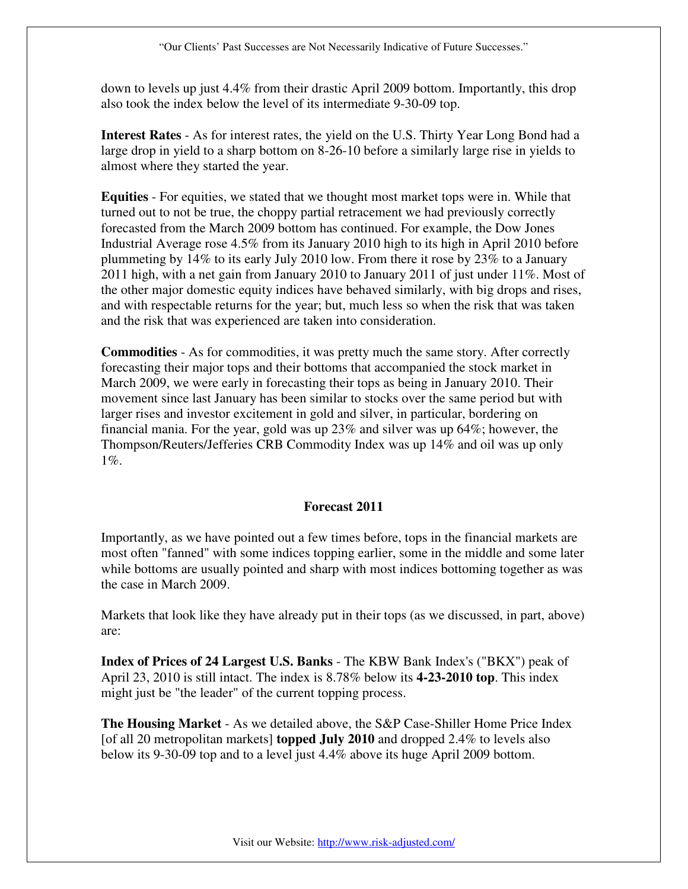down to levels up just 4.4% from their drastic April 2009 bottom. Importantly, this drop also took the index below the level of its intermediate 9-30-09 top.

**Interest Rates** - As for interest rates, the yield on the U.S. Thirty Year Long Bond had a large drop in yield to a sharp bottom on 8-26-10 before a similarly large rise in yields to almost where they started the year.

**Equities** - For equities, we stated that we thought most market tops were in. While that turned out to not be true, the choppy partial retracement we had previously correctly forecasted from the March 2009 bottom has continued. For example, the Dow Jones Industrial Average rose 4.5% from its January 2010 high to its high in April 2010 before plummeting by 14% to its early July 2010 low. From there it rose by 23% to a January 2011 high, with a net gain from January 2010 to January 2011 of just under 11%. Most of the other major domestic equity indices have behaved similarly, with big drops and rises, and with respectable returns for the year; but, much less so when the risk that was taken and the risk that was experienced are taken into consideration.

**Commodities** - As for commodities, it was pretty much the same story. After correctly forecasting their major tops and their bottoms that accompanied the stock market in March 2009, we were early in forecasting their tops as being in January 2010. Their movement since last January has been similar to stocks over the same period but with larger rises and investor excitement in gold and silver, in particular, bordering on financial mania. For the year, gold was up 23% and silver was up 64%; however, the Thompson/Reuters/Jefferies CRB Commodity Index was up 14% and oil was up only  $1\%$ .

## **Forecast 2011**

Importantly, as we have pointed out a few times before, tops in the financial markets are most often "fanned" with some indices topping earlier, some in the middle and some later while bottoms are usually pointed and sharp with most indices bottoming together as was the case in March 2009.

Markets that look like they have already put in their tops (as we discussed, in part, above) are:

**Index of Prices of 24 Largest U.S. Banks** - The KBW Bank Index's ("BKX") peak of April 23, 2010 is still intact. The index is 8.78% below its **4-23-2010 top**. This index might just be "the leader" of the current topping process.

**The Housing Market** - As we detailed above, the S&P Case-Shiller Home Price Index [of all 20 metropolitan markets] **topped July 2010** and dropped 2.4% to levels also below its 9-30-09 top and to a level just 4.4% above its huge April 2009 bottom.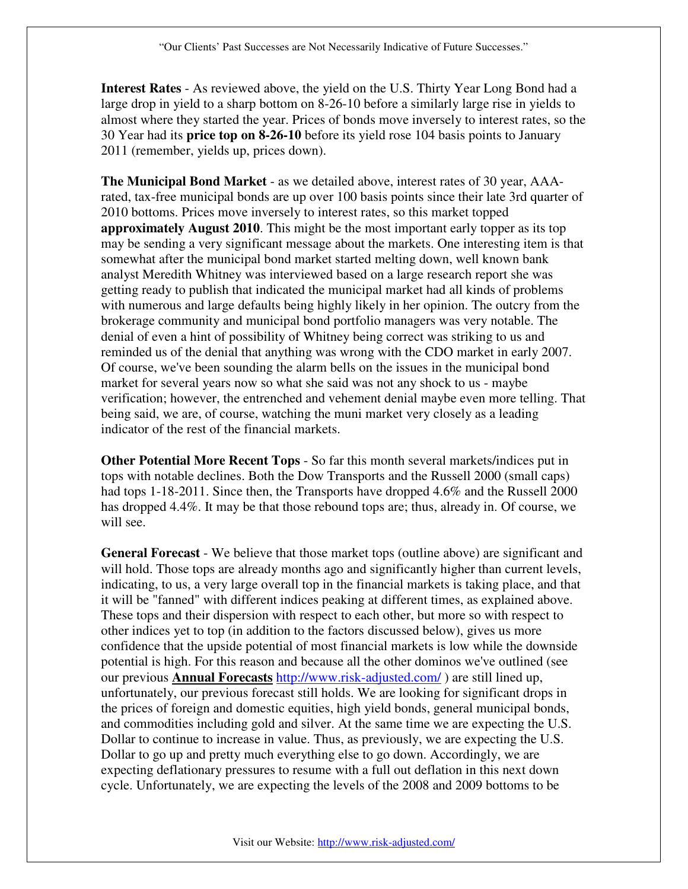**Interest Rates** - As reviewed above, the yield on the U.S. Thirty Year Long Bond had a large drop in yield to a sharp bottom on 8-26-10 before a similarly large rise in yields to almost where they started the year. Prices of bonds move inversely to interest rates, so the 30 Year had its **price top on 8-26-10** before its yield rose 104 basis points to January 2011 (remember, yields up, prices down).

**The Municipal Bond Market** - as we detailed above, interest rates of 30 year, AAArated, tax-free municipal bonds are up over 100 basis points since their late 3rd quarter of 2010 bottoms. Prices move inversely to interest rates, so this market topped **approximately August 2010**. This might be the most important early topper as its top may be sending a very significant message about the markets. One interesting item is that somewhat after the municipal bond market started melting down, well known bank analyst Meredith Whitney was interviewed based on a large research report she was getting ready to publish that indicated the municipal market had all kinds of problems with numerous and large defaults being highly likely in her opinion. The outcry from the brokerage community and municipal bond portfolio managers was very notable. The denial of even a hint of possibility of Whitney being correct was striking to us and reminded us of the denial that anything was wrong with the CDO market in early 2007. Of course, we've been sounding the alarm bells on the issues in the municipal bond market for several years now so what she said was not any shock to us - maybe verification; however, the entrenched and vehement denial maybe even more telling. That being said, we are, of course, watching the muni market very closely as a leading indicator of the rest of the financial markets.

**Other Potential More Recent Tops** - So far this month several markets/indices put in tops with notable declines. Both the Dow Transports and the Russell 2000 (small caps) had tops 1-18-2011. Since then, the Transports have dropped 4.6% and the Russell 2000 has dropped 4.4%. It may be that those rebound tops are; thus, already in. Of course, we will see.

**General Forecast** - We believe that those market tops (outline above) are significant and will hold. Those tops are already months ago and significantly higher than current levels, indicating, to us, a very large overall top in the financial markets is taking place, and that it will be "fanned" with different indices peaking at different times, as explained above. These tops and their dispersion with respect to each other, but more so with respect to other indices yet to top (in addition to the factors discussed below), gives us more confidence that the upside potential of most financial markets is low while the downside potential is high. For this reason and because all the other dominos we've outlined (see our previous **Annual Forecasts** http://www.risk-adjusted.com/ ) are still lined up, unfortunately, our previous forecast still holds. We are looking for significant drops in the prices of foreign and domestic equities, high yield bonds, general municipal bonds, and commodities including gold and silver. At the same time we are expecting the U.S. Dollar to continue to increase in value. Thus, as previously, we are expecting the U.S. Dollar to go up and pretty much everything else to go down. Accordingly, we are expecting deflationary pressures to resume with a full out deflation in this next down cycle. Unfortunately, we are expecting the levels of the 2008 and 2009 bottoms to be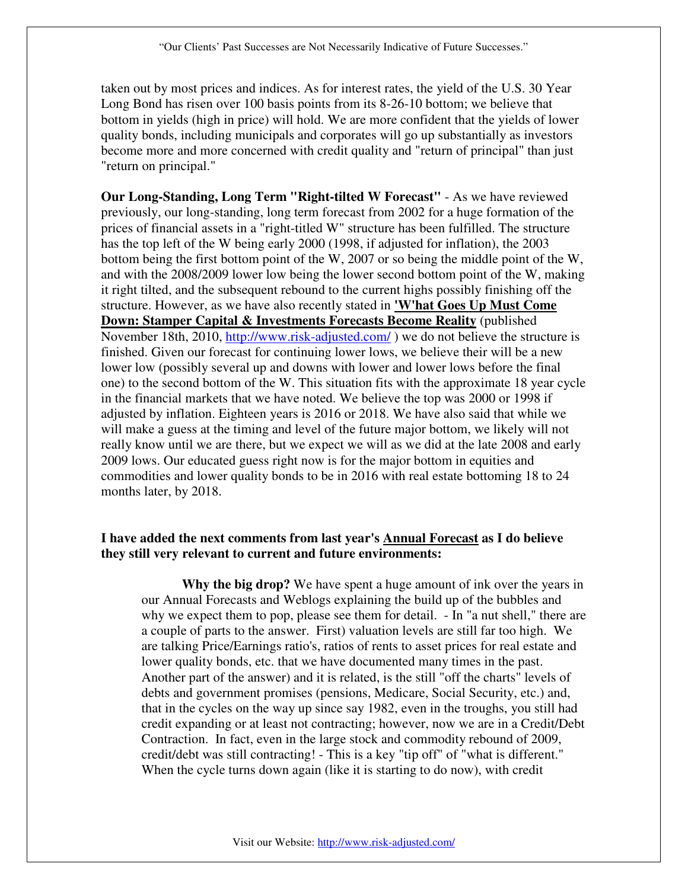taken out by most prices and indices. As for interest rates, the yield of the U.S. 30 Year Long Bond has risen over 100 basis points from its 8-26-10 bottom; we believe that bottom in yields (high in price) will hold. We are more confident that the yields of lower quality bonds, including municipals and corporates will go up substantially as investors become more and more concerned with credit quality and "return of principal" than just "return on principal."

**Our Long-Standing, Long Term "Right-tilted W Forecast"** - As we have reviewed previously, our long-standing, long term forecast from 2002 for a huge formation of the prices of financial assets in a "right-titled W" structure has been fulfilled. The structure has the top left of the W being early 2000 (1998, if adjusted for inflation), the 2003 bottom being the first bottom point of the W, 2007 or so being the middle point of the W, and with the 2008/2009 lower low being the lower second bottom point of the W, making it right tilted, and the subsequent rebound to the current highs possibly finishing off the structure. However, as we have also recently stated in **'W'hat Goes Up Must Come Down: Stamper Capital & Investments Forecasts Become Reality** (published November 18th, 2010, http://www.risk-adjusted.com/) we do not believe the structure is finished. Given our forecast for continuing lower lows, we believe their will be a new lower low (possibly several up and downs with lower and lower lows before the final one) to the second bottom of the W. This situation fits with the approximate 18 year cycle in the financial markets that we have noted. We believe the top was 2000 or 1998 if adjusted by inflation. Eighteen years is 2016 or 2018. We have also said that while we will make a guess at the timing and level of the future major bottom, we likely will not really know until we are there, but we expect we will as we did at the late 2008 and early 2009 lows. Our educated guess right now is for the major bottom in equities and commodities and lower quality bonds to be in 2016 with real estate bottoming 18 to 24 months later, by 2018.

#### **I have added the next comments from last year's Annual Forecast as I do believe they still very relevant to current and future environments:**

**Why the big drop?** We have spent a huge amount of ink over the years in our Annual Forecasts and Weblogs explaining the build up of the bubbles and why we expect them to pop, please see them for detail. - In "a nut shell," there are a couple of parts to the answer. First) valuation levels are still far too high. We are talking Price/Earnings ratio's, ratios of rents to asset prices for real estate and lower quality bonds, etc. that we have documented many times in the past. Another part of the answer) and it is related, is the still "off the charts" levels of debts and government promises (pensions, Medicare, Social Security, etc.) and, that in the cycles on the way up since say 1982, even in the troughs, you still had credit expanding or at least not contracting; however, now we are in a Credit/Debt Contraction. In fact, even in the large stock and commodity rebound of 2009, credit/debt was still contracting! - This is a key "tip off" of "what is different." When the cycle turns down again (like it is starting to do now), with credit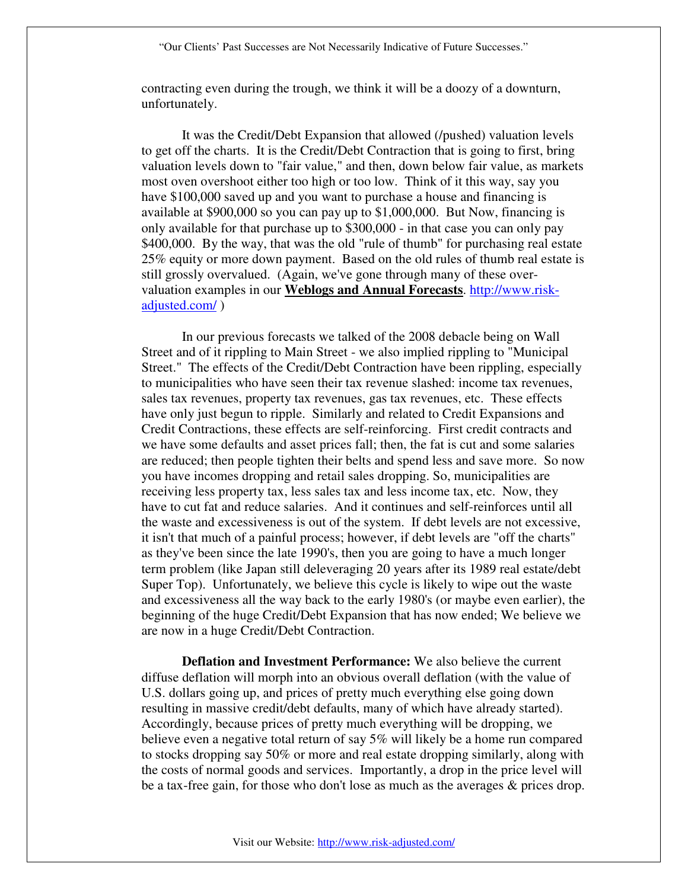"Our Clients' Past Successes are Not Necessarily Indicative of Future Successes."

contracting even during the trough, we think it will be a doozy of a downturn, unfortunately.

It was the Credit/Debt Expansion that allowed (/pushed) valuation levels to get off the charts. It is the Credit/Debt Contraction that is going to first, bring valuation levels down to "fair value," and then, down below fair value, as markets most oven overshoot either too high or too low. Think of it this way, say you have \$100,000 saved up and you want to purchase a house and financing is available at \$900,000 so you can pay up to \$1,000,000. But Now, financing is only available for that purchase up to \$300,000 - in that case you can only pay \$400,000. By the way, that was the old "rule of thumb" for purchasing real estate 25% equity or more down payment. Based on the old rules of thumb real estate is still grossly overvalued. (Again, we've gone through many of these overvaluation examples in our **Weblogs and Annual Forecasts**. http://www.riskadjusted.com/ )

In our previous forecasts we talked of the 2008 debacle being on Wall Street and of it rippling to Main Street - we also implied rippling to "Municipal Street." The effects of the Credit/Debt Contraction have been rippling, especially to municipalities who have seen their tax revenue slashed: income tax revenues, sales tax revenues, property tax revenues, gas tax revenues, etc. These effects have only just begun to ripple. Similarly and related to Credit Expansions and Credit Contractions, these effects are self-reinforcing. First credit contracts and we have some defaults and asset prices fall; then, the fat is cut and some salaries are reduced; then people tighten their belts and spend less and save more. So now you have incomes dropping and retail sales dropping. So, municipalities are receiving less property tax, less sales tax and less income tax, etc. Now, they have to cut fat and reduce salaries. And it continues and self-reinforces until all the waste and excessiveness is out of the system. If debt levels are not excessive, it isn't that much of a painful process; however, if debt levels are "off the charts" as they've been since the late 1990's, then you are going to have a much longer term problem (like Japan still deleveraging 20 years after its 1989 real estate/debt Super Top). Unfortunately, we believe this cycle is likely to wipe out the waste and excessiveness all the way back to the early 1980's (or maybe even earlier), the beginning of the huge Credit/Debt Expansion that has now ended; We believe we are now in a huge Credit/Debt Contraction.

**Deflation and Investment Performance:** We also believe the current diffuse deflation will morph into an obvious overall deflation (with the value of U.S. dollars going up, and prices of pretty much everything else going down resulting in massive credit/debt defaults, many of which have already started). Accordingly, because prices of pretty much everything will be dropping, we believe even a negative total return of say 5% will likely be a home run compared to stocks dropping say 50% or more and real estate dropping similarly, along with the costs of normal goods and services. Importantly, a drop in the price level will be a tax-free gain, for those who don't lose as much as the averages & prices drop.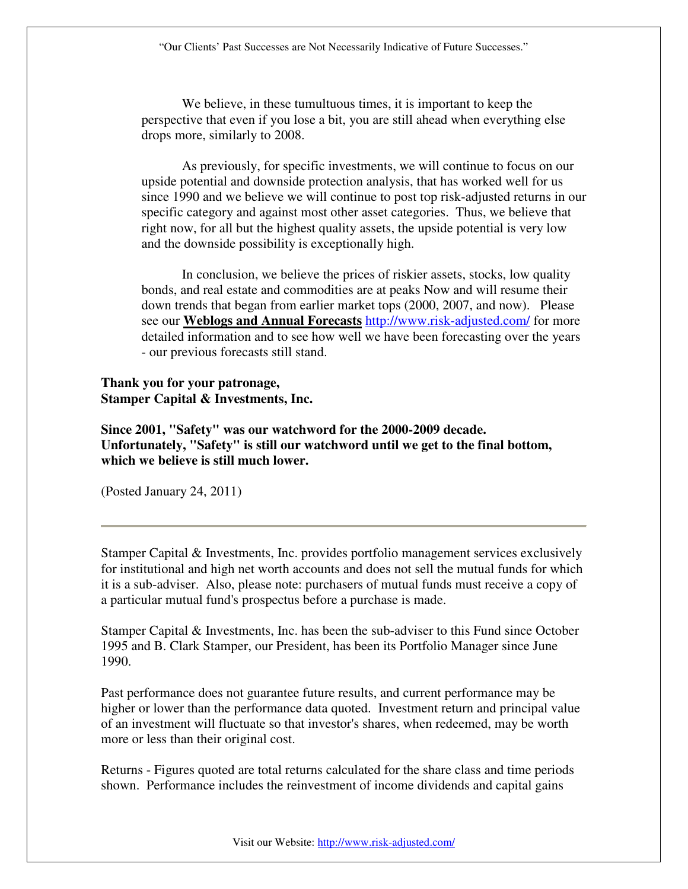We believe, in these tumultuous times, it is important to keep the perspective that even if you lose a bit, you are still ahead when everything else drops more, similarly to 2008.

As previously, for specific investments, we will continue to focus on our upside potential and downside protection analysis, that has worked well for us since 1990 and we believe we will continue to post top risk-adjusted returns in our specific category and against most other asset categories. Thus, we believe that right now, for all but the highest quality assets, the upside potential is very low and the downside possibility is exceptionally high.

In conclusion, we believe the prices of riskier assets, stocks, low quality bonds, and real estate and commodities are at peaks Now and will resume their down trends that began from earlier market tops (2000, 2007, and now). Please see our **Weblogs and Annual Forecasts** http://www.risk-adjusted.com/ for more detailed information and to see how well we have been forecasting over the years - our previous forecasts still stand.

## **Thank you for your patronage, Stamper Capital & Investments, Inc.**

**Since 2001, "Safety" was our watchword for the 2000-2009 decade. Unfortunately, "Safety" is still our watchword until we get to the final bottom, which we believe is still much lower.** 

(Posted January 24, 2011)

Stamper Capital & Investments, Inc. provides portfolio management services exclusively for institutional and high net worth accounts and does not sell the mutual funds for which it is a sub-adviser. Also, please note: purchasers of mutual funds must receive a copy of a particular mutual fund's prospectus before a purchase is made.

Stamper Capital & Investments, Inc. has been the sub-adviser to this Fund since October 1995 and B. Clark Stamper, our President, has been its Portfolio Manager since June 1990.

Past performance does not guarantee future results, and current performance may be higher or lower than the performance data quoted. Investment return and principal value of an investment will fluctuate so that investor's shares, when redeemed, may be worth more or less than their original cost.

Returns - Figures quoted are total returns calculated for the share class and time periods shown. Performance includes the reinvestment of income dividends and capital gains